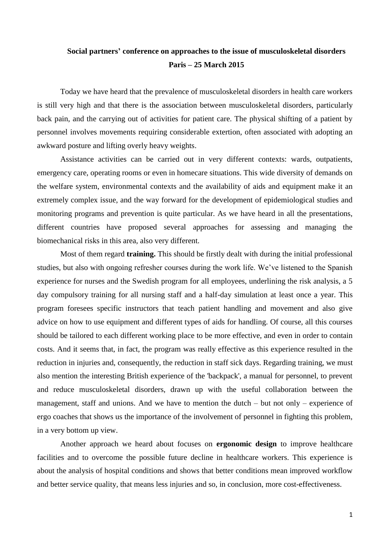## **Social partners' conference on approaches to the issue of musculoskeletal disorders Paris – 25 March 2015**

Today we have heard that the prevalence of musculoskeletal disorders in health care workers is still very high and that there is the association between musculoskeletal disorders, particularly back pain, and the carrying out of activities for patient care. The physical shifting of a patient by personnel involves movements requiring considerable extertion, often associated with adopting an awkward posture and lifting overly heavy weights.

Assistance activities can be carried out in very different contexts: wards, outpatients, emergency care, operating rooms or even in homecare situations. This wide diversity of demands on the welfare system, environmental contexts and the availability of aids and equipment make it an extremely complex issue, and the way forward for the development of epidemiological studies and monitoring programs and prevention is quite particular. As we have heard in all the presentations, different countries have proposed several approaches for assessing and managing the biomechanical risks in this area, also very different.

Most of them regard **training.** This should be firstly dealt with during the initial professional studies, but also with ongoing refresher courses during the work life. We've listened to the Spanish experience for nurses and the Swedish program for all employees, underlining the risk analysis, a 5 day compulsory training for all nursing staff and a half-day simulation at least once a year. This program foresees specific instructors that teach patient handling and movement and also give advice on how to use equipment and different types of aids for handling. Of course, all this courses should be tailored to each different working place to be more effective, and even in order to contain costs. And it seems that, in fact, the program was really effective as this experience resulted in the reduction in injuries and, consequently, the reduction in staff sick days. Regarding training, we must also mention the interesting British experience of the 'backpack', a manual for personnel, to prevent and reduce musculoskeletal disorders, drawn up with the useful collaboration between the management, staff and unions. And we have to mention the dutch – but not only – experience of ergo coaches that shows us the importance of the involvement of personnel in fighting this problem, in a very bottom up view.

Another approach we heard about focuses on **ergonomic design** to improve healthcare facilities and to overcome the possible future decline in healthcare workers. This experience is about the analysis of hospital conditions and shows that better conditions mean improved workflow and better service quality, that means less injuries and so, in conclusion, more cost-effectiveness.